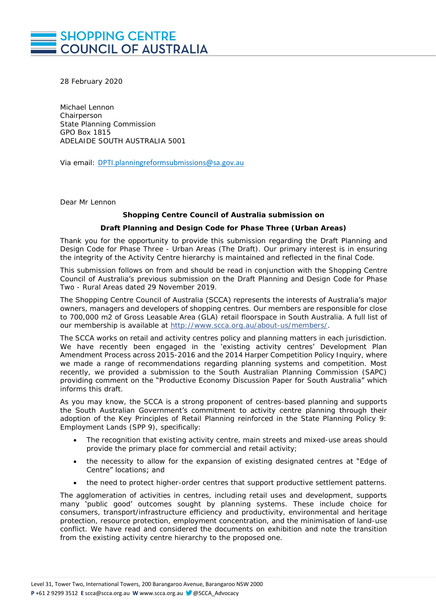# **SHOPPING CENTRE COUNCIL OF AUSTRALIA**

28 February 2020

Michael Lennon **Chairperson** State Planning Commission GPO Box 1815 ADELAIDE SOUTH AUSTRALIA 5001

Via email: [DPTI.planningreformsubmissions@sa.gov.au](mailto:DPTI.planningreformsubmissions@sa.gov.au)

Dear Mr Lennon

# **Shopping Centre Council of Australia submission on**

#### **Draft Planning and Design Code for Phase Three (Urban Areas)**

Thank you for the opportunity to provide this submission regarding the *Draft Planning and Design Code for Phase Three - Urban Areas* (The Draft)*.* Our primary interest is in ensuring the integrity of the Activity Centre hierarchy is maintained and reflected in the final Code.

This submission follows on from and should be read in conjunction with the Shopping Centre Council of Australia's previous submission on the *Draft Planning and Design Code for Phase Two - Rural Areas dated 29 November 2019.*

The Shopping Centre Council of Australia (SCCA) represents the interests of Australia's major owners, managers and developers of shopping centres. Our members are responsible for close to 700,000 m2 of Gross Leasable Area (GLA) retail floorspace in South Australia. A full list of our membership is available at [http://www.scca.org.au/about-us/members/.](http://www.scca.org.au/about-us/members/)

The SCCA works on retail and activity centres policy and planning matters in each jurisdiction. We have recently been engaged in the 'existing activity centres' Development Plan Amendment Process across 2015-2016 and the 2014 Harper Competition Policy Inquiry, where we made a range of recommendations regarding planning systems and competition. Most recently, we provided a submission to the South Australian Planning Commission (SAPC) providing comment on the "*Productive Economy Discussion Paper for South Australia*" which informs this draft.

As you may know, the SCCA is a strong proponent of centres-based planning and supports the South Australian Government's commitment to activity centre planning through their adoption of the Key Principles of Retail Planning reinforced in the State Planning Policy 9: Employment Lands (SPP 9), specifically:

- The recognition that existing activity centre, main streets and mixed-use areas should provide the primary place for commercial and retail activity;
- the necessity to allow for the expansion of existing designated centres at "Edge of Centre" locations; and
- the need to protect higher-order centres that support productive settlement patterns.

The agglomeration of activities in centres, including retail uses and development, supports many 'public good' outcomes sought by planning systems. These include choice for consumers, transport/infrastructure efficiency and productivity, environmental and heritage protection, resource protection, employment concentration, and the minimisation of land-use conflict. We have read and considered the documents on exhibition and note the transition from the existing activity centre hierarchy to the proposed one.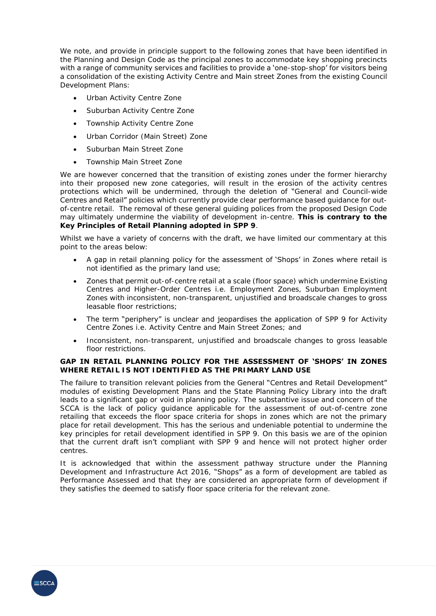We note, and provide in principle support to the following zones that have been identified in the Planning and Design Code as the principal zones to accommodate key shopping precincts with a range of community services and facilities to provide a 'one-stop-shop' for visitors being a consolidation of the existing Activity Centre and Main street Zones from the existing Council Development Plans:

- Urban Activity Centre Zone
- Suburban Activity Centre Zone
- Township Activity Centre Zone
- Urban Corridor (Main Street) Zone
- Suburban Main Street Zone
- Township Main Street Zone

We are however concerned that the transition of existing zones under the former hierarchy into their proposed new zone categories, will result in the erosion of the activity centres protections which will be undermined, through the deletion of "General and Council-wide Centres and Retail" policies which currently provide clear performance based guidance for outof-centre retail. The removal of these general guiding polices from the proposed Design Code may ultimately undermine the viability of development in-centre. **This is contrary to the Key Principles of Retail Planning adopted in SPP 9**.

Whilst we have a variety of concerns with the draft, we have limited our commentary at this point to the areas below:

- A gap in retail planning policy for the assessment of 'Shops' in Zones where retail is not identified as the primary land use;
- Zones that permit out-of-centre retail at a scale (floor space) which undermine Existing Centres and Higher-Order Centres i.e. *Employment Zones, Suburban Employment Zones* with inconsistent, non-transparent, unjustified and broadscale changes to gross leasable floor restrictions*;*
- The term "periphery" is unclear and jeopardises the application of SPP 9 for Activity Centre Zones i.e. *Activity Centre* and *Main Street Zones*; and
- Inconsistent, non-transparent, unjustified and broadscale changes to gross leasable floor restrictions.

**GAP IN RETAIL PLANNING POLICY FOR THE ASSESSMENT OF 'SHOPS' IN ZONES WHERE RETAIL IS NOT IDENTIFIED AS THE PRIMARY LAND USE** 

The failure to transition relevant policies from the General "Centres and Retail Development" modules of existing Development Plans and the State Planning Policy Library into the draft leads to a significant gap or void in planning policy. The substantive issue and concern of the SCCA is the lack of policy guidance applicable for the assessment of out-of-centre zone retailing that exceeds the floor space criteria for shops in zones which are not the primary place for retail development. This has the serious and undeniable potential to undermine the key principles for retail development identified in SPP 9. On this basis we are of the opinion that the current draft isn't compliant with SPP 9 and hence will not protect higher order centres.

It is acknowledged that within the assessment pathway structure under the *Planning Development and Infrastructure Act 2016*, "Shops" as a form of development are tabled as Performance Assessed and that they are considered an appropriate form of development if they satisfies the deemed to satisfy floor space criteria for the relevant zone.

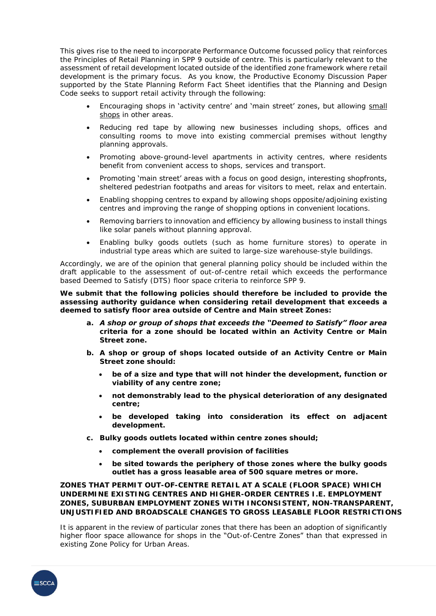This gives rise to the need to incorporate Performance Outcome focussed policy that reinforces the Principles of Retail Planning in SPP 9 outside of centre. This is particularly relevant to the assessment of retail development located outside of the identified zone framework where retail development is the primary focus. As you know, the *Productive Economy Discussion Paper* supported by the State Planning Reform Fact Sheet identifies that the Planning and Design Code seeks to support retail activity through the following:

- Encouraging shops in 'activity centre' and 'main street' zones, but allowing small shops in other areas.
- Reducing red tape by allowing new businesses including shops, offices and consulting rooms to move into existing commercial premises without lengthy planning approvals.
- Promoting above-ground-level apartments in activity centres, where residents benefit from convenient access to shops, services and transport.
- Promoting 'main street' areas with a focus on good design, interesting shopfronts, sheltered pedestrian footpaths and areas for visitors to meet, relax and entertain.
- Enabling shopping centres to expand by allowing shops opposite/adjoining existing centres and improving the range of shopping options in convenient locations.
- Removing barriers to innovation and efficiency by allowing business to install things like solar panels without planning approval.
- Enabling bulky goods outlets (such as home furniture stores) to operate in industrial type areas which are suited to large-size warehouse-style buildings.

Accordingly, we are of the opinion that general planning policy should be included within the draft applicable to the assessment of out-of-centre retail which exceeds the performance based Deemed to Satisfy (DTS) floor space criteria to reinforce SPP 9.

*We submit that the following policies should therefore be included to provide the assessing authority guidance when considering retail development that exceeds a deemed to satisfy floor area outside of Centre and Main street Zones:*

- *a. A shop or group of shops that exceeds the "Deemed to Satisfy" floor area criteria for a zone should be located within an Activity Centre or Main Street zone.*
- *b. A shop or group of shops located outside of an Activity Centre or Main Street zone should:* 
	- *be of a size and type that will not hinder the development, function or viability of any centre zone;*
	- *not demonstrably lead to the physical deterioration of any designated centre;*
	- *be developed taking into consideration its effect on adjacent development.*
- *c. Bulky goods outlets located within centre zones should;* 
	- *complement the overall provision of facilities*
	- *be sited towards the periphery of those zones where the bulky goods outlet has a gross leasable area of 500 square metres or more.*

**ZONES THAT PERMIT OUT-OF-CENTRE RETAIL AT A SCALE (FLOOR SPACE) WHICH UNDERMINE EXISTING CENTRES AND HIGHER-ORDER CENTRES I.E.** *EMPLOYMENT ZONES, SUBURBAN EMPLOYMENT ZONES* **WITH INCONSISTENT, NON-TRANSPARENT, UNJUSTIFIED AND BROADSCALE CHANGES TO GROSS LEASABLE FLOOR RESTRICTIONS**

It is apparent in the review of particular zones that there has been an adoption of significantly higher floor space allowance for shops in the "Out-of-Centre Zones" than that expressed in existing Zone Policy for Urban Areas.

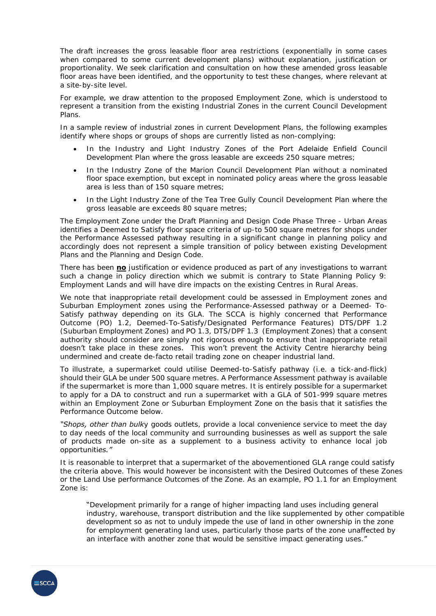The draft increases the gross leasable floor area restrictions (exponentially in some cases when compared to some current development plans) without explanation, justification or proportionality. We seek clarification and consultation on how these amended gross leasable floor areas have been identified, and the opportunity to test these changes, where relevant at a site-by-site level.

For example, we draw attention to the proposed Employment Zone, which is understood to represent a transition from the existing Industrial Zones in the current Council Development Plans.

In a sample review of industrial zones in current Development Plans, the following examples identify where shops or groups of shops are currently listed as non-complying:

- In the Industry and Light Industry Zones of the Port Adelaide Enfield Council Development Plan where the gross leasable are exceeds 250 square metres;
- In the Industry Zone of the Marion Council Development Plan without a nominated floor space exemption, but except in nominated policy areas where the gross leasable area is less than of 150 square metres;
- In the Light Industry Zone of the Tea Tree Gully Council Development Plan where the gross leasable are exceeds 80 square metres;

The Employment Zone under the *Draft Planning and Design Code Phase Three - Urban Areas* identifies a Deemed to Satisfy floor space criteria of up-to 500 square metres for shops under the Performance Assessed pathway resulting in a significant change in planning policy and accordingly does not represent a simple transition of policy between existing Development Plans and the Planning and Design Code.

There has been **no** justification or evidence produced as part of any investigations to warrant such a change in policy direction which we submit is contrary to State Planning Policy 9: Employment Lands and will have dire impacts on the existing Centres in Rural Areas.

We note that inappropriate retail development could be assessed in Employment zones and Suburban Employment zones using the Performance-Assessed pathway or a Deemed- To-Satisfy pathway depending on its GLA. The SCCA is highly concerned that Performance Outcome (PO) 1.2, Deemed-To-Satisfy/Designated Performance Features) DTS/DPF 1.2 (Suburban Employment Zones) and PO 1.3, DTS/DPF 1.3 (Employment Zones) that a consent authority should consider are simply not rigorous enough to ensure that inappropriate retail doesn't take place in these zones. This won't prevent the Activity Centre hierarchy being undermined and create de-facto retail trading zone on cheaper industrial land.

To illustrate, a supermarket could utilise Deemed-to-Satisfy pathway (i.e. a tick-and-flick) should their GLA be under 500 square metres. A Performance Assessment pathway is available if the supermarket is more than 1,000 square metres. It is entirely possible for a supermarket to apply for a DA to construct and run a supermarket with a GLA of 501-999 square metres within an Employment Zone or Suburban Employment Zone on the basis that it satisfies the Performance Outcome below.

*"Shops, other than bulky goods outlets, provide a local convenience service to meet the day to day needs of the local community and surrounding businesses as well as support the sale of products made on-site as a supplement to a business activity to enhance local job opportunities."*

It is reasonable to interpret that a supermarket of the abovementioned GLA range could satisfy the criteria above. This would however be inconsistent with the Desired Outcomes of these Zones or the Land Use performance Outcomes of the Zone. As an example, PO 1.1 for an Employment Zone is:

"*Development primarily for a range of higher impacting land uses including general industry, warehouse, transport distribution and the like supplemented by other compatible development so as not to unduly impede the use of land in other ownership in the zone for employment generating land uses, particularly those parts of the zone unaffected by an interface with another zone that would be sensitive impact generating uses.*"

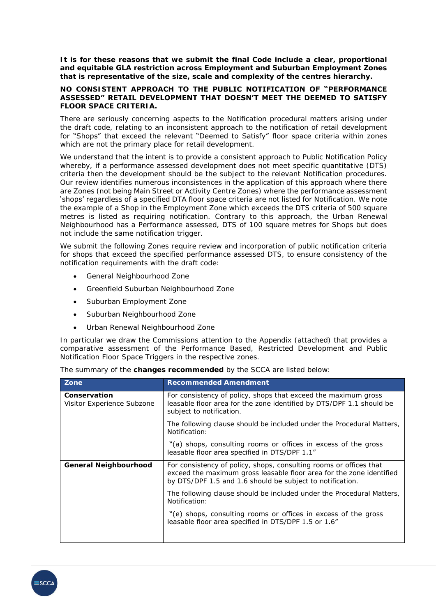*It is for these reasons that we submit the final Code include a clear, proportional and equitable GLA restriction across Employment and Suburban Employment Zones that is representative of the size, scale and complexity of the centres hierarchy.*

# **NO CONSISTENT APPROACH TO THE PUBLIC NOTIFICATION OF "PERFORMANCE ASSESSED" RETAIL DEVELOPMENT THAT DOESN'T MEET THE DEEMED TO SATISFY FLOOR SPACE CRITERIA.**

There are seriously concerning aspects to the Notification procedural matters arising under the draft code, relating to an inconsistent approach to the notification of retail development for "Shops" that exceed the relevant "Deemed to Satisfy" floor space criteria within zones which are not the primary place for retail development.

We understand that the intent is to provide a consistent approach to Public Notification Policy whereby, if a performance assessed development does not meet specific quantitative (DTS) criteria then the development should be the subject to the relevant Notification procedures. Our review identifies numerous inconsistences in the application of this approach where there are Zones (not being Main Street or Activity Centre Zones) where the performance assessment 'shops' regardless of a specified DTA floor space criteria are not listed for Notification. We note the example of a Shop in the Employment Zone which exceeds the DTS criteria of 500 square metres is listed as requiring notification. Contrary to this approach, the Urban Renewal Neighbourhood has a Performance assessed, DTS of 100 square metres for Shops but does not include the same notification trigger.

*We submit the following Zones require review and incorporation of public notification criteria for shops that exceed the specified performance assessed DTS, to ensure consistency of the notification requirements with the draft code:*

- *General Neighbourhood Zone*
- *Greenfield Suburban Neighbourhood Zone*
- *Suburban Employment Zone*
- *Suburban Neighbourhood Zone*
- *Urban Renewal Neighbourhood Zone*

In particular we draw the Commissions attention to the Appendix (attached) that provides a comparative assessment of the Performance Based, Restricted Development and Public Notification Floor Space Triggers in the respective zones.

|  | The summary of the changes recommended by the SCCA are listed below: |  |  |
|--|----------------------------------------------------------------------|--|--|
|  |                                                                      |  |  |
|  |                                                                      |  |  |

| Zone                                       | Recommended Amendment                                                                                                                                                                                   |  |
|--------------------------------------------|---------------------------------------------------------------------------------------------------------------------------------------------------------------------------------------------------------|--|
| Conservation<br>Visitor Experience Subzone | For consistency of policy, shops that exceed the maximum gross<br>leasable floor area for the zone identified by DTS/DPF 1.1 should be<br>subject to notification.                                      |  |
|                                            | The following clause should be included under the Procedural Matters,<br>Notification:                                                                                                                  |  |
|                                            | "(a) shops, consulting rooms or offices in excess of the gross<br>leasable floor area specified in DTS/DPF 1.1"                                                                                         |  |
| General Neighbourhood                      | For consistency of policy, shops, consulting rooms or offices that<br>exceed the maximum gross leasable floor area for the zone identified<br>by DTS/DPF 1.5 and 1.6 should be subject to notification. |  |
|                                            | The following clause should be included under the Procedural Matters,<br>Notification:                                                                                                                  |  |
|                                            | "(e) shops, consulting rooms or offices in excess of the gross<br>leasable floor area specified in DTS/DPF 1.5 or 1.6"                                                                                  |  |
|                                            |                                                                                                                                                                                                         |  |

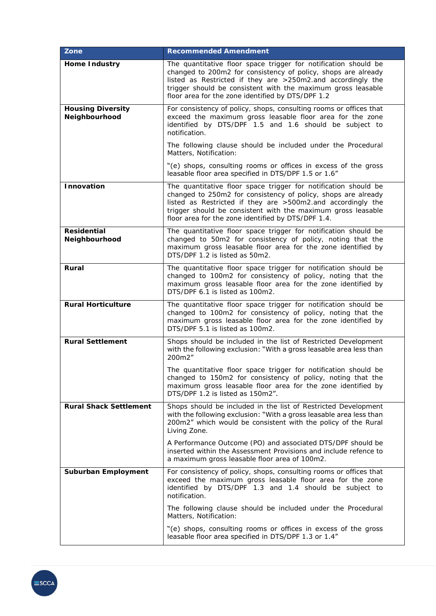| Zone                                      | Recommended Amendment                                                                                                                                                                                                                                                                                                 |
|-------------------------------------------|-----------------------------------------------------------------------------------------------------------------------------------------------------------------------------------------------------------------------------------------------------------------------------------------------------------------------|
| Home Industry                             | The quantitative floor space trigger for notification should be<br>changed to 200m2 for consistency of policy, shops are already<br>listed as Restricted if they are >250m2.and accordingly the<br>trigger should be consistent with the maximum gross leasable<br>floor area for the zone identified by DTS/DPF 1.2  |
| <b>Housing Diversity</b><br>Neighbourhood | For consistency of policy, shops, consulting rooms or offices that<br>exceed the maximum gross leasable floor area for the zone<br>identified by DTS/DPF 1.5 and 1.6 should be subject to<br>notification.                                                                                                            |
|                                           | The following clause should be included under the Procedural<br>Matters, Notification:                                                                                                                                                                                                                                |
|                                           | "(e) shops, consulting rooms or offices in excess of the gross<br>leasable floor area specified in DTS/DPF 1.5 or 1.6"                                                                                                                                                                                                |
| Innovation                                | The quantitative floor space trigger for notification should be<br>changed to 250m2 for consistency of policy, shops are already<br>listed as Restricted if they are >500m2.and accordingly the<br>trigger should be consistent with the maximum gross leasable<br>floor area for the zone identified by DTS/DPF 1.4. |
| Residential<br>Neighbourhood              | The quantitative floor space trigger for notification should be<br>changed to 50m2 for consistency of policy, noting that the<br>maximum gross leasable floor area for the zone identified by<br>DTS/DPF 1.2 is listed as 50m2.                                                                                       |
| Rural                                     | The quantitative floor space trigger for notification should be<br>changed to 100m2 for consistency of policy, noting that the<br>maximum gross leasable floor area for the zone identified by<br>DTS/DPF 6.1 is listed as 100m2.                                                                                     |
| Rural Horticulture                        | The quantitative floor space trigger for notification should be<br>changed to 100m2 for consistency of policy, noting that the<br>maximum gross leasable floor area for the zone identified by<br>DTS/DPF 5.1 is listed as 100m2.                                                                                     |
| <b>Rural Settlement</b>                   | Shops should be included in the list of Restricted Development<br>with the following exclusion: "With a gross leasable area less than<br>200m2"                                                                                                                                                                       |
|                                           | The quantitative floor space trigger for notification should be<br>changed to 150m2 for consistency of policy, noting that the<br>maximum gross leasable floor area for the zone identified by<br>DTS/DPF 1.2 is listed as 150m2".                                                                                    |
| Rural Shack Settlement                    | Shops should be included in the list of Restricted Development<br>with the following exclusion: "With a gross leasable area less than<br>200m2" which would be consistent with the policy of the Rural<br>Living Zone.                                                                                                |
|                                           | A Performance Outcome (PO) and associated DTS/DPF should be<br>inserted within the Assessment Provisions and include refence to<br>a maximum gross leasable floor area of 100m2.                                                                                                                                      |
| Suburban Employment                       | For consistency of policy, shops, consulting rooms or offices that<br>exceed the maximum gross leasable floor area for the zone<br>identified by DTS/DPF 1.3 and 1.4 should be subject to<br>notification.                                                                                                            |
|                                           | The following clause should be included under the Procedural<br>Matters, Notification:                                                                                                                                                                                                                                |
|                                           | "(e) shops, consulting rooms or offices in excess of the gross<br>leasable floor area specified in DTS/DPF 1.3 or 1.4"                                                                                                                                                                                                |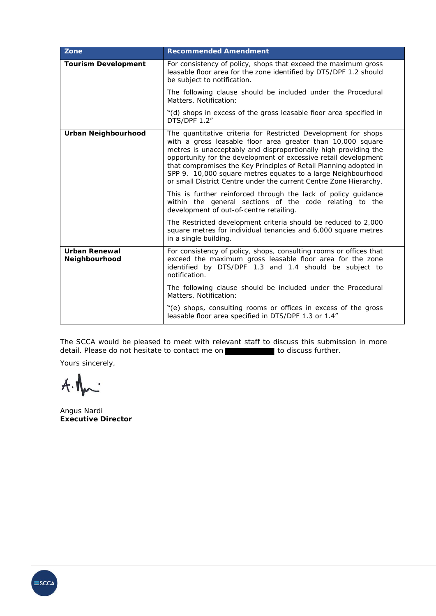| Zone                           | Recommended Amendment                                                                                                                                                                                                                                                                                                                                                                                                                                                         |
|--------------------------------|-------------------------------------------------------------------------------------------------------------------------------------------------------------------------------------------------------------------------------------------------------------------------------------------------------------------------------------------------------------------------------------------------------------------------------------------------------------------------------|
| Tourism Development            | For consistency of policy, shops that exceed the maximum gross<br>leasable floor area for the zone identified by DTS/DPF 1.2 should<br>be subject to notification.                                                                                                                                                                                                                                                                                                            |
|                                | The following clause should be included under the Procedural<br>Matters, Notification:                                                                                                                                                                                                                                                                                                                                                                                        |
|                                | "(d) shops in excess of the gross leasable floor area specified in<br>DTS/DPF 1.2"                                                                                                                                                                                                                                                                                                                                                                                            |
| Urban Neighbourhood            | The quantitative criteria for Restricted Development for shops<br>with a gross leasable floor area greater than 10,000 square<br>metres is unacceptably and disproportionally high providing the<br>opportunity for the development of excessive retail development<br>that compromises the Key Principles of Retail Planning adopted in<br>SPP 9. 10,000 square metres equates to a large Neighbourhood<br>or small District Centre under the current Centre Zone Hierarchy. |
|                                | This is further reinforced through the lack of policy guidance<br>within the general sections of the code relating to the<br>development of out-of-centre retailing.                                                                                                                                                                                                                                                                                                          |
|                                | The Restricted development criteria should be reduced to 2,000<br>square metres for individual tenancies and 6,000 square metres<br>in a single building.                                                                                                                                                                                                                                                                                                                     |
| Urban Renewal<br>Neighbourhood | For consistency of policy, shops, consulting rooms or offices that<br>exceed the maximum gross leasable floor area for the zone<br>identified by DTS/DPF 1.3 and 1.4 should be subject to<br>notification.                                                                                                                                                                                                                                                                    |
|                                | The following clause should be included under the Procedural<br>Matters, Notification:                                                                                                                                                                                                                                                                                                                                                                                        |
|                                | "(e) shops, consulting rooms or offices in excess of the gross<br>leasable floor area specified in DTS/DPF 1.3 or 1.4"                                                                                                                                                                                                                                                                                                                                                        |

The SCCA would be pleased to meet with relevant staff to discuss this submission in more detail. Please do not hesitate to contact me on the state of to discuss further.

Yours sincerely,

 $A.$ 

Angus Nardi **Executive Director** 

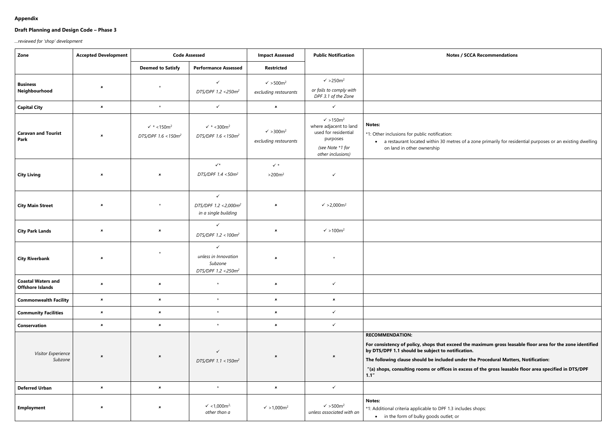# **Appendix**

# **Draft Planning and Design Code – Phase 3**

*…reviewed for 'shop' development*

| Zone                                                 | <b>Accepted Development</b> | <b>Code Assessed</b>                                                 |                                                                                    | <b>Impact Assessed</b>                                   | <b>Public Notification</b>                                                                                                            | <b>Notes / SCCA Recommendations</b>                                                                                                                                                                                                                                                                            |
|------------------------------------------------------|-----------------------------|----------------------------------------------------------------------|------------------------------------------------------------------------------------|----------------------------------------------------------|---------------------------------------------------------------------------------------------------------------------------------------|----------------------------------------------------------------------------------------------------------------------------------------------------------------------------------------------------------------------------------------------------------------------------------------------------------------|
|                                                      |                             | <b>Deemed to Satisfy</b>                                             | <b>Performance Assessed</b>                                                        | <b>Restricted</b>                                        |                                                                                                                                       |                                                                                                                                                                                                                                                                                                                |
| <b>Business</b><br>Neighbourhood                     | $\pmb{\times}$              | $\star$                                                              | $\checkmark$<br>DTS/DPF 1.2 <250m <sup>2</sup>                                     | $\checkmark$ >500m <sup>2</sup><br>excluding restaurants | $\checkmark$ >250m <sup>2</sup><br>or fails to comply with<br>DPF 3.1 of the Zone                                                     |                                                                                                                                                                                                                                                                                                                |
| <b>Capital City</b>                                  | $\pmb{\times}$              | $\star$                                                              | $\checkmark$                                                                       | $\pmb{\times}$                                           | $\checkmark$                                                                                                                          |                                                                                                                                                                                                                                                                                                                |
| <b>Caravan and Tourist</b><br>Park                   | $\pmb{\times}$              | $\checkmark$ * <150m <sup>2</sup><br>DTS/DPF 1.6 < 150m <sup>2</sup> | $\checkmark$ * <300m <sup>2</sup><br>DTS/DPF $1.6 < 150m^2$                        | $\checkmark$ >300m <sup>2</sup><br>excluding restaurants | $\sqrt{ }$ > 150m <sup>2</sup><br>where adjacent to land<br>used for residential<br>purposes<br>(see Note *1 for<br>other inclusions) | <b>Notes:</b><br>*1: Other inclusions for public notification:<br>• a restaurant located within 30 metres of a zone primarily for resident<br>on land in other ownership                                                                                                                                       |
| <b>City Living</b>                                   | $\boldsymbol{\mathsf{x}}$   | $\pmb{\times}$                                                       | $\checkmark$<br>DTS/DPF 1.4 <50m <sup>2</sup>                                      | $\checkmark$ *<br>$>200m^2$                              | $\checkmark$                                                                                                                          |                                                                                                                                                                                                                                                                                                                |
| <b>City Main Street</b>                              | $\pmb{\times}$              | $\star$                                                              | $\checkmark$<br>DTS/DPF 1.2 < 2,000m <sup>2</sup><br>in a single building          | $\pmb{\times}$                                           | $\sqrt{}$ > 2,000m <sup>2</sup>                                                                                                       |                                                                                                                                                                                                                                                                                                                |
| <b>City Park Lands</b>                               | $\boldsymbol{\mathsf{x}}$   | $\pmb{\times}$                                                       | $\checkmark$<br>DTS/DPF 1.2 < 100m <sup>2</sup>                                    | $\boldsymbol{\mathsf{x}}$                                | $\checkmark$ >100m <sup>2</sup>                                                                                                       |                                                                                                                                                                                                                                                                                                                |
| <b>City Riverbank</b>                                | $\boldsymbol{\mathsf{x}}$   | $\star$                                                              | $\checkmark$<br>unless in Innovation<br>Subzone<br>DTS/DPF 1.2 < 250m <sup>2</sup> | $\pmb{\times}$                                           | $\star$                                                                                                                               |                                                                                                                                                                                                                                                                                                                |
| <b>Coastal Waters and</b><br><b>Offshore Islands</b> | $\boldsymbol{\mathsf{x}}$   | $\pmb{\times}$                                                       | $\star$                                                                            | $\pmb{\times}$                                           | $\checkmark$                                                                                                                          |                                                                                                                                                                                                                                                                                                                |
| <b>Commonwealth Facility</b>                         | $\pmb{\times}$              | $\pmb{\times}$                                                       | $\star$                                                                            | $\pmb{\times}$                                           | $\pmb{\times}$                                                                                                                        |                                                                                                                                                                                                                                                                                                                |
| <b>Community Facilities</b>                          | $\pmb{\times}$              | $\pmb{\times}$                                                       | $\star$                                                                            | $\pmb{\times}$                                           | $\checkmark$                                                                                                                          |                                                                                                                                                                                                                                                                                                                |
| Conservation                                         | $\pmb{\times}$              | $\pmb{\times}$                                                       | $\star$                                                                            | $\pmb{\times}$                                           | $\checkmark$                                                                                                                          |                                                                                                                                                                                                                                                                                                                |
| Visitor Experience<br>Subzone                        | $\boldsymbol{\mathsf{x}}$   | $\pmb{\times}$                                                       | $\checkmark$<br>DTS/DPF 1.1 < 150m <sup>2</sup>                                    | $\boldsymbol{\mathsf{x}}$                                | $\pmb{\times}$                                                                                                                        | <b>RECOMMENDATION:</b><br>For consistency of policy, shops that exceed the maximum gross lease<br>by DTS/DPF 1.1 should be subject to notification.<br>The following clause should be included under the Procedural Matter<br>"(a) shops, consulting rooms or offices in excess of the gross leasable<br>1.1'' |
| <b>Deferred Urban</b>                                | $\pmb{\times}$              | $\pmb{\times}$                                                       | $\star$                                                                            | $\pmb{\times}$                                           | $\checkmark$                                                                                                                          |                                                                                                                                                                                                                                                                                                                |
| <b>Employment</b>                                    | $\pmb{\times}$              | $\pmb{\times}$                                                       | $\checkmark$ <1,000m <sup>2,</sup><br>other than a                                 | $\sqrt{}$ > 1,000m <sup>2</sup>                          | $\checkmark$ >500m <sup>2</sup><br>unless associated with an                                                                          | <b>Notes:</b><br>*1: Additional criteria applicable to DPF 1.3 includes shops:<br>• in the form of bulky goods outlet; or                                                                                                                                                                                      |

|  | SCCA Recommendations |
|--|----------------------|
|--|----------------------|

of a zone primarily for residential purposes or an existing dwelling

**For consistency of policy, shops that exceed the maximum gross leasable floor area for the zone identified** 

**Example 1 example 1 Procedural Matters, Notification:** 

**"(a) shops, consulting rooms or offices in excess of the gross leasable floor area specified in DTS/DPF**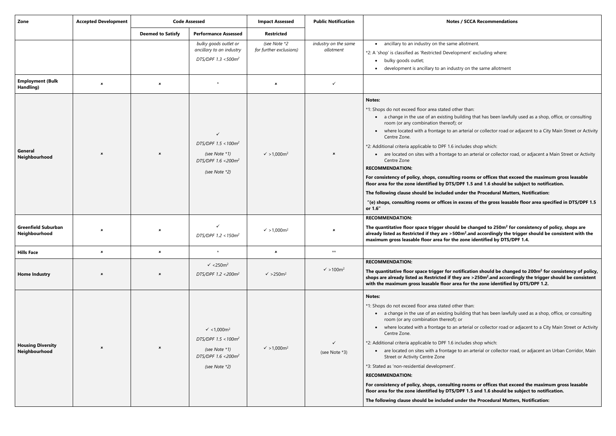**For consistency of policy, shops, consulting rooms or offices that exceed the maximum gross leasable floor 1.5** and 1.6 should be subject to notification.

**The quantitative floor space trigger should be changed to 250m<sup>2</sup> for consistency of policy, shops are .and accordingly the trigger should be consistent with the ne identified by DTS/DPF 1.4.** 

**The quantitative floor space trigger for notification should be changed to 200m<sup>2</sup> for consistency of policy, shops are already listed as Restricted if they are >250m<sup>2</sup> .and accordingly the trigger should be consistent**  or the zone identified by DTS/DPF 1.2.

ing that has been lawfully used as a shop, office, or consulting

erial or collector road or adjacent to a City Main Street or Activity

des shop which:

an arterial or collector road, or adjacent an Urban Corridor, Main

**The following clause should be included under the Procedural Matters, Notification:**

**"(e) shops, consulting rooms or offices in excess of the gross leasable floor area specified in DTS/DPF 1.5** 

**For consistency of policy, shops, consulting rooms or offices that exceed the maximum gross leasable floor 1.5** and 1.6 should be subject to notification.

**r the Procedural Matters, Notification:** 

| Zone                                        | <b>Accepted Development</b> | <b>Code Assessed</b>      |                                                                                                                                | <b>Impact Assessed</b>                  | <b>Public Notification</b>        | Notes / SCC/                                                                                                                                                                                                                                                                                                                                                                                                                                                                                                                                                                                                                |
|---------------------------------------------|-----------------------------|---------------------------|--------------------------------------------------------------------------------------------------------------------------------|-----------------------------------------|-----------------------------------|-----------------------------------------------------------------------------------------------------------------------------------------------------------------------------------------------------------------------------------------------------------------------------------------------------------------------------------------------------------------------------------------------------------------------------------------------------------------------------------------------------------------------------------------------------------------------------------------------------------------------------|
|                                             |                             | <b>Deemed to Satisfy</b>  | <b>Performance Assessed</b>                                                                                                    | <b>Restricted</b>                       |                                   |                                                                                                                                                                                                                                                                                                                                                                                                                                                                                                                                                                                                                             |
|                                             |                             |                           | bulky goods outlet or<br>ancillary to an industry<br>DTS/DPF 1.3 <500m <sup>2</sup>                                            | (see Note *2<br>for further exclusions) | industry on the same<br>allotment | ancillary to an industry on the same allotme<br>*2: A 'shop' is classified as 'Restricted Development' e<br>bulky goods outlet;<br>$\bullet$<br>development is ancillary to an industry on th                                                                                                                                                                                                                                                                                                                                                                                                                               |
| <b>Employment (Bulk</b><br>Handling)        | $\pmb{\times}$              | $\boldsymbol{\mathsf{x}}$ | $\star$                                                                                                                        | ×                                       | ✓                                 |                                                                                                                                                                                                                                                                                                                                                                                                                                                                                                                                                                                                                             |
| General<br>Neighbourhood                    | $\pmb{\times}$              | $\boldsymbol{\mathsf{x}}$ | $\checkmark$<br>DTS/DPF $1.5 < 100m^2$<br>(see Note *1)<br>DTS/DPF 1.6 < 200m <sup>2</sup><br>(see Note *2)                    | $\sqrt{}$ > 1,000m <sup>2</sup>         | ×                                 | <b>Notes:</b><br>*1: Shops do not exceed floor area stated other than:<br>• a change in the use of an existing building t<br>room (or any combination thereof); or<br>where located with a frontage to an arterial<br>Centre Zone.<br>*2: Additional criteria applicable to DPF 1.6 includes :<br>• are located on sites with a frontage to an ar<br>Centre Zone<br><b>RECOMMENDATION:</b><br>For consistency of policy, shops, consulting room<br>floor area for the zone identified by DTS/DPF 1.5<br>The following clause should be included under th<br>"(e) shops, consulting rooms or offices in excess<br>or 1.6"    |
| <b>Greenfield Suburban</b><br>Neighbourhood | $\pmb{\times}$              | $\boldsymbol{\mathsf{x}}$ | DTS/DPF $1.2 < 150 m^2$                                                                                                        | $\sqrt{}$ > 1,000m <sup>2</sup>         | ×                                 | <b>RECOMMENDATION:</b><br>The quantitative floor space trigger should be cha<br>already listed as Restricted if they are >500m <sup>2</sup> .and<br>maximum gross leasable floor area for the zone io                                                                                                                                                                                                                                                                                                                                                                                                                       |
| <b>Hills Face</b>                           | $\pmb{\times}$              | ×                         | $\star$                                                                                                                        | $\boldsymbol{\mathsf{x}}$               | $\star\star$                      |                                                                                                                                                                                                                                                                                                                                                                                                                                                                                                                                                                                                                             |
| <b>Home Industry</b>                        | ×                           | $\boldsymbol{\mathsf{x}}$ | $\sqrt{250m^2}$<br>DTS/DPF 1.2 < 200m <sup>2</sup>                                                                             | $\sqrt{}$ >250m <sup>2</sup>            | $\sqrt{}$ > 100m <sup>2</sup>     | <b>RECOMMENDATION:</b><br>The quantitative floor space trigger for notificatio<br>shops are already listed as Restricted if they are ><br>with the maximum gross leasable floor area for th                                                                                                                                                                                                                                                                                                                                                                                                                                 |
| <b>Housing Diversity</b><br>Neighbourhood   | $\pmb{\times}$              | $\boldsymbol{\mathsf{x}}$ | $\sqrt{4.1,000}$ m <sup>2</sup><br>DTS/DPF $1.5 < 100m^2$<br>(see Note *1)<br>DTS/DPF 1.6 < 200m <sup>2</sup><br>(see Note *2) | $\sqrt{}$ > 1,000m <sup>2</sup>         | ✓<br>(see Note *3)                | <b>Notes:</b><br>*1: Shops do not exceed floor area stated other than:<br>• a change in the use of an existing building t<br>room (or any combination thereof); or<br>where located with a frontage to an arterial<br>Centre Zone.<br>*2: Additional criteria applicable to DPF 1.6 includes s<br>• are located on sites with a frontage to an ar<br>Street or Activity Centre Zone<br>*3: Stated as 'non-residential development'.<br><b>RECOMMENDATION:</b><br>For consistency of policy, shops, consulting room<br>floor area for the zone identified by DTS/DPF 1.5<br>The following clause should be included under th |

#### **ZCCA Recommendations**

btment.

ent' excluding where:

on the same allotment

ing that has been lawfully used as a shop, office, or consulting

erial or collector road or adjacent to a City Main Street or Activity

des shop which:

an arterial or collector road, or adjacent a Main Street or Activity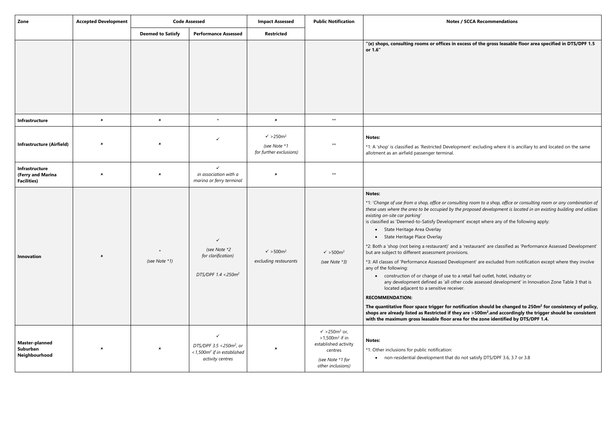**"(e) shops, consulting rooms or offices in excess of the gross leasable floor area specified in DTS/DPF 1.5**

ent' excluding where it is ancillary to and located on the same

**The quantitative floor space trigger for notification should be changed to 250m<sup>2</sup> for consistency of policy, shops are already listed as Restricted if they are >500m<sup>2</sup> .and accordingly the trigger should be consistent**  for the zone identified by DTS/DPF 1.4.

ot satisfy DTS/DPF 3.6, 3.7 or 3.8

\*1: '*Change of use from a shop, office or consulting room to a shop, office or consulting room or any combination of these uses where the area to be occupied by the proposed development is located in an existing building and utilises* 

 $i$  except where any of the following apply:

'restaurant' are classified as 'Performance Assessed Development'

pment' are excluded from notification except where they involve

etail fuel outlet, hotel, industry or code assessed development' in Innovation Zone Table 3 that is

| Zone                                                      | <b>Accepted Development</b> | <b>Code Assessed</b>      |                                                                                                                   | <b>Impact Assessed</b>                                                  | <b>Public Notification</b>                                                                                                           | Notes / SO                                                                                                                                                                                                                                                                                                                                                                                                                                                                                                                                                                                                                                                                                                                                                                                                   |
|-----------------------------------------------------------|-----------------------------|---------------------------|-------------------------------------------------------------------------------------------------------------------|-------------------------------------------------------------------------|--------------------------------------------------------------------------------------------------------------------------------------|--------------------------------------------------------------------------------------------------------------------------------------------------------------------------------------------------------------------------------------------------------------------------------------------------------------------------------------------------------------------------------------------------------------------------------------------------------------------------------------------------------------------------------------------------------------------------------------------------------------------------------------------------------------------------------------------------------------------------------------------------------------------------------------------------------------|
|                                                           |                             | <b>Deemed to Satisfy</b>  | <b>Performance Assessed</b>                                                                                       | <b>Restricted</b>                                                       |                                                                                                                                      |                                                                                                                                                                                                                                                                                                                                                                                                                                                                                                                                                                                                                                                                                                                                                                                                              |
|                                                           |                             |                           |                                                                                                                   |                                                                         |                                                                                                                                      | "(e) shops, consulting rooms or offices in exces<br>or 1.6"                                                                                                                                                                                                                                                                                                                                                                                                                                                                                                                                                                                                                                                                                                                                                  |
| Infrastructure                                            | $\boldsymbol{\mathsf{x}}$   | $\pmb{\times}$            | $\star$                                                                                                           | $\pmb{\times}$                                                          | $\star\star$                                                                                                                         |                                                                                                                                                                                                                                                                                                                                                                                                                                                                                                                                                                                                                                                                                                                                                                                                              |
| <b>Infrastructure (Airfield)</b>                          | ×                           | $\boldsymbol{\mathsf{x}}$ | ✓                                                                                                                 | $\sqrt{}$ >250m <sup>2</sup><br>(see Note *1<br>for further exclusions) | $***$                                                                                                                                | <b>Notes:</b><br>*1: A 'shop' is classified as 'Restricted Developmer<br>allotment as an airfield passenger terminal.                                                                                                                                                                                                                                                                                                                                                                                                                                                                                                                                                                                                                                                                                        |
| Infrastructure<br>(Ferry and Marina<br><b>Facilities)</b> | ×                           | $\pmb{\times}$            | $\checkmark$<br>in association with a<br>marina or ferry terminal                                                 | $\pmb{\times}$                                                          | $***$                                                                                                                                |                                                                                                                                                                                                                                                                                                                                                                                                                                                                                                                                                                                                                                                                                                                                                                                                              |
| Innovation                                                | $\pmb{\times}$              | (see Note *1)             | ✓<br>(see Note *2<br>for clarification)<br>DTS/DPF 1.4 < 250m <sup>2</sup>                                        | $\checkmark$ >500m <sup>2</sup><br>excluding restaurants                | $\sqrt{ }$ > 500m <sup>2</sup><br>(see Note *3)                                                                                      | <b>Notes:</b><br>*1: 'Change of use from a shop, office or consulting<br>these uses where the area to be occupied by the pro<br>existing on-site car parking'<br>is classified as 'Deemed-to-Satisfy Development' e<br>State Heritage Area Overlay<br>State Heritage Place Overlay<br>*2: Both a 'shop (not being a restaurant)' and a 're<br>but are subject to different assessment provisions.<br>*3: All classes of 'Performance Assessed Developm<br>any of the following:<br>construction of or change of use to a reta<br>any development defined as 'all other co<br>located adjacent to a sensitive receiver.<br><b>RECOMMENDATION:</b><br>The quantitative floor space trigger for notifica<br>shops are already listed as Restricted if they are<br>with the maximum gross leasable floor area fo |
| <b>Master-planned</b><br>Suburban<br>Neighbourhood        | ×                           | $\boldsymbol{\mathsf{x}}$ | $\checkmark$<br>DTS/DPF 3.5 <250m <sup>2</sup> , or<br><1,500m <sup>2</sup> if in established<br>activity centres | ×                                                                       | $\checkmark$ >250m <sup>2</sup> or,<br>$>1,500m^2$ if in<br>established activity<br>centres<br>(see Note *1 for<br>other inclusions) | <b>Notes:</b><br>*1: Other inclusions for public notification:<br>• non-residential development that do not                                                                                                                                                                                                                                                                                                                                                                                                                                                                                                                                                                                                                                                                                                  |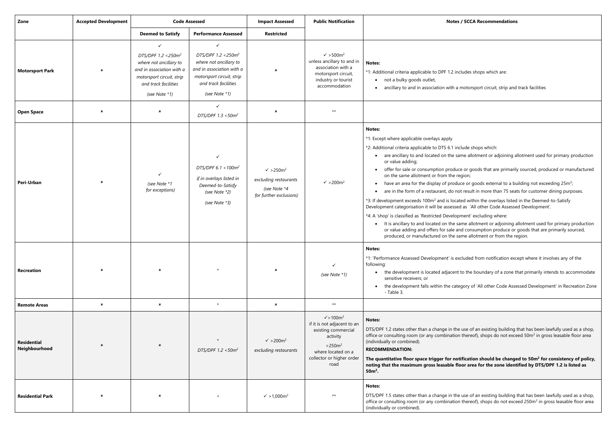des shops which are:

otorsport circuit, strip and track facilities

de shops which:

e allotment or adjoining allotment used for primary production

or goods that are primarily sourced, produced or manufactured

• have an area for the display of produce or goods external to a building not exceeding 25m<sup>2</sup>;

result in more than 75 seats for customer dining purposes.

d within the overlays listed in the Deemed-to-Satisfy as 'All other Code Assessed Development'.

ent' excluding where:

ne allotment or adjoining allotment used for primary production I consumption produce or goods that are primarily sourced, ne allotment or from the region.

uded from notification except where it involves any of the

the boundary of a zone that primarily intends to accommodate

ory of 'All other Code Assessed Development' in Recreation Zone

ise of an existing building that has been lawfully used as a shop, office or consulting room (or any combination thereof), shops do not exceed 50m<sup>2</sup> in gross leasable floor area

# **The quantitative floor space trigger for notification should be changed to 50m<sup>2</sup> for consistency of policy, noting that incredum in that is set identified by DTS/DPF 1.2 is listed as**

ise of an existing building that has been lawfully used as a shop, office or consulting room (or any combination thereof), shops do not exceed 250m<sup>2</sup> in gross leasable floor area

| Zone                                | <b>Accepted Development</b> | <b>Code Assessed</b>                                                                                                                                      |                                                                                                                                                                      | <b>Impact Assessed</b>                                                                           | <b>Public Notification</b>                                                                                                                                | Notes / SC                                                                                                                                                                                                                                                                                                                                                                                                                                                                                                                                                                                                                                                                                            |
|-------------------------------------|-----------------------------|-----------------------------------------------------------------------------------------------------------------------------------------------------------|----------------------------------------------------------------------------------------------------------------------------------------------------------------------|--------------------------------------------------------------------------------------------------|-----------------------------------------------------------------------------------------------------------------------------------------------------------|-------------------------------------------------------------------------------------------------------------------------------------------------------------------------------------------------------------------------------------------------------------------------------------------------------------------------------------------------------------------------------------------------------------------------------------------------------------------------------------------------------------------------------------------------------------------------------------------------------------------------------------------------------------------------------------------------------|
|                                     |                             | <b>Deemed to Satisfy</b>                                                                                                                                  | <b>Performance Assessed</b>                                                                                                                                          | <b>Restricted</b>                                                                                |                                                                                                                                                           |                                                                                                                                                                                                                                                                                                                                                                                                                                                                                                                                                                                                                                                                                                       |
| <b>Motorsport Park</b>              | $\pmb{\times}$              | ✓<br>DTS/DPF 1.2 < 250 $m^2$<br>where not ancillary to<br>and in association with a<br>motorsport circuit, strip<br>and track facilities<br>(see Note *1) | $\checkmark$<br>DTS/DPF 1.2 < 250 $m^2$<br>where not ancillary to<br>and in association with a<br>motorsport circuit, strip<br>and track facilities<br>(see Note *1) | $\boldsymbol{\mathsf{x}}$                                                                        | $\sqrt{ }$ > 500m <sup>2</sup><br>unless ancillary to and in<br>association with a<br>motorsport circuit,<br>industry or tourist<br>accommodation         | Notes:<br>*1: Additional criteria applicable to DPF 1.2 includes<br>not a bulky goods outlet,<br>$\bullet$<br>ancillary to and in association with a moto                                                                                                                                                                                                                                                                                                                                                                                                                                                                                                                                             |
| <b>Open Space</b>                   | $\pmb{\times}$              | ×                                                                                                                                                         | ✓<br>DTS/DPF 1.3 <50m <sup>2</sup>                                                                                                                                   | $\pmb{\times}$                                                                                   | $\star\star$                                                                                                                                              |                                                                                                                                                                                                                                                                                                                                                                                                                                                                                                                                                                                                                                                                                                       |
| Peri-Urban                          | ×                           | ✓<br>(see Note *1<br>for exceptions)                                                                                                                      | $\checkmark$<br>DTS/DPF 6.1 < $100m^2$<br>if in overlays listed in<br>Deemed-to-Satisfy<br>(see Note *2)<br>(see Note *3)                                            | $\sqrt{}$ >250m <sup>2</sup><br>excluding restaurants<br>(see Note *4<br>for further exclusions) | $\sqrt{ } > 200 m^2$                                                                                                                                      | <b>Notes:</b><br>*1: Except where applicable overlays apply<br>*2: Additional criteria applicable to DTS 6.1 include<br>are ancillary to and located on the same a<br>or value adding;<br>offer for sale or consumption produce or<br>on the same allotment or from the region;<br>have an area for the display of produce or<br>are in the form of a restaurant, do not resu<br>*3: If development exceeds 100m <sup>2</sup> and is located w<br>Development categorisation it will be assessed as<br>*4: A 'shop' is classified as 'Restricted Development<br>It is ancillary to and located on the same a<br>or value adding and offers for sale and co<br>produced, or manufactured on the same a |
| <b>Recreation</b>                   | ×                           | $\pmb{\times}$                                                                                                                                            |                                                                                                                                                                      | $\pmb{\times}$                                                                                   | $\checkmark$<br>(see Note *1)                                                                                                                             | <b>Notes:</b><br>*1: 'Performance Assessed Development' is exclude<br>following:<br>the development is located adjacent to th<br>sensitive receivers; or<br>the development falls within the category<br>- Table 3.                                                                                                                                                                                                                                                                                                                                                                                                                                                                                   |
| <b>Remote Areas</b>                 | $\boldsymbol{\mathsf{x}}$   | $\pmb{\times}$                                                                                                                                            | $\star$                                                                                                                                                              | $\pmb{\times}$                                                                                   | $\star\star$                                                                                                                                              |                                                                                                                                                                                                                                                                                                                                                                                                                                                                                                                                                                                                                                                                                                       |
| <b>Residential</b><br>Neighbourhood | $\pmb{\times}$              | $\boldsymbol{\mathsf{x}}$                                                                                                                                 | $\star$<br>DTS/DPF $1.2 < 50m^2$                                                                                                                                     | $\sqrt{}$ >200m <sup>2</sup><br>excluding restaurants                                            | $\sqrt{100m^2}$<br>if it is not adjacent to an<br>existing commercial<br>activity<br>$>250m^2$<br>where located on a<br>collector or higher order<br>road | <b>Notes:</b><br>DTS/DPF 1.2 states other than a change in the use<br>office or consulting room (or any combination ther<br>(individually or combined).<br><b>RECOMMENDATION:</b><br>The quantitative floor space trigger for notificat<br>noting that the maximum gross leasable floor a<br>$50m²$ .                                                                                                                                                                                                                                                                                                                                                                                                 |
| <b>Residential Park</b>             | ×                           | ×                                                                                                                                                         |                                                                                                                                                                      | $\sqrt{}$ > 1,000m <sup>2</sup>                                                                  | $\star\star$                                                                                                                                              | <b>Notes:</b><br>DTS/DPF 1.5 states other than a change in the use<br>office or consulting room (or any combination ther<br>(individually or combined).                                                                                                                                                                                                                                                                                                                                                                                                                                                                                                                                               |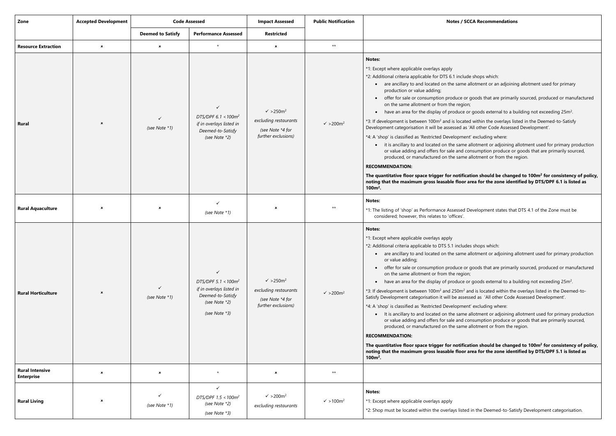# **The quantitative floor space trigger for notification should be changed to 100m<sup>2</sup> for consistency of policy, noting floor that zone identified by DTS/DPF 6.1 is listed as**

- I Development states that DTS 4.1 of the Zone must be
- des shops which:
- e allotment or adjoining allotment used for primary production
- or goods that are primarily sourced, produced or manufactured
- have an area for the display of produce or goods external to a building not exceeding  $25m^2$ .
	- and is located within the overlays listed in the Deemed-toessed as 'All other Code Assessed Development'.
	- ent' excluding where:
	- e allotment or adjoining allotment used for primary production consumption produce or goods that are primarily sourced, e allotment or from the region.

# **The quantitative floor space trigger for notification should be changed to 100m<sup>2</sup> for consistency of policy,**  area for the zone identified by DTS/DPF 5.1 is listed as

ed in the Deemed-to-Satisfy Development categorisation.

| Zone                                        | <b>Accepted Development</b> | <b>Code Assessed</b>      |                                                                                                                           | <b>Impact Assessed</b>                                                                           | <b>Public Notification</b>   | Notes / SC                                                                                                                                                                                                                                                                                                                                                                                                                                                                                                                                                                                                                                                                                                                                                                                                                                                  |
|---------------------------------------------|-----------------------------|---------------------------|---------------------------------------------------------------------------------------------------------------------------|--------------------------------------------------------------------------------------------------|------------------------------|-------------------------------------------------------------------------------------------------------------------------------------------------------------------------------------------------------------------------------------------------------------------------------------------------------------------------------------------------------------------------------------------------------------------------------------------------------------------------------------------------------------------------------------------------------------------------------------------------------------------------------------------------------------------------------------------------------------------------------------------------------------------------------------------------------------------------------------------------------------|
|                                             |                             | <b>Deemed to Satisfy</b>  | <b>Performance Assessed</b>                                                                                               | <b>Restricted</b>                                                                                |                              |                                                                                                                                                                                                                                                                                                                                                                                                                                                                                                                                                                                                                                                                                                                                                                                                                                                             |
| <b>Resource Extraction</b>                  | $\pmb{\times}$              | $\boldsymbol{\mathsf{x}}$ | $\star$                                                                                                                   | $\pmb{\times}$                                                                                   | $\star\star$                 |                                                                                                                                                                                                                                                                                                                                                                                                                                                                                                                                                                                                                                                                                                                                                                                                                                                             |
| <b>Rural</b>                                | $\pmb{\times}$              | (see Note *1)             | $\checkmark$<br>DTS/DPF $6.1 < 100m^2$<br>if in overlays listed in<br>Deemed-to-Satisfy<br>(see Note *2)                  | $\sqrt{}$ >250m <sup>2</sup><br>excluding restaurants<br>(see Note *4 for<br>further exclusions) | $\sqrt{}$ >200m <sup>2</sup> | Notes:<br>*1: Except where applicable overlays apply<br>*2: Additional criteria applicable for DTS 6.1 include<br>• are ancillary to and located on the same a<br>production or value adding;<br>offer for sale or consumption produce or<br>on the same allotment or from the region;<br>have an area for the display of produce or<br>$\bullet$<br>*3: If development is between 100m <sup>2</sup> and is located<br>Development categorisation it will be assessed as '<br>*4: A 'shop' is classified as 'Restricted Development<br>it is ancillary to and located on the same a<br>$\bullet$<br>or value adding and offers for sale and co<br>produced, or manufactured on the same a<br><b>RECOMMENDATION:</b><br>The quantitative floor space trigger for notificat<br>noting that the maximum gross leasable floor a<br>$100m^2$ .                   |
| <b>Rural Aquaculture</b>                    | ×                           | ×                         | $\checkmark$<br>(see Note *1)                                                                                             | $\pmb{\times}$                                                                                   | $***$                        | <b>Notes:</b><br>*1: The listing of 'shop' as Performance Assessed D<br>considered; however, this relates to 'offices'.                                                                                                                                                                                                                                                                                                                                                                                                                                                                                                                                                                                                                                                                                                                                     |
| <b>Rural Horticulture</b>                   | $\pmb{\times}$              | ✓<br>(see Note *1)        | $\checkmark$<br>DTS/DPF 5.1 < $100m^2$<br>if in overlays listed in<br>Deemed-to-Satisfy<br>(see Note *2)<br>(see Note *3) | $\sqrt{}$ >250m <sup>2</sup><br>excluding restaurants<br>(see Note *4 for<br>further exclusions) | $\sqrt{}$ >200m <sup>2</sup> | <b>Notes:</b><br>*1: Except where applicable overlays apply<br>*2: Additional criteria applicable to DTS 5.1 include:<br>are ancillary to and located on the same a<br>$\bullet$<br>or value adding;<br>offer for sale or consumption produce or<br>$\bullet$<br>on the same allotment or from the region;<br>have an area for the display of produce or<br>*3: If development is between 100m <sup>2</sup> and 250m <sup>2</sup> ar<br>Satisfy Development categorisation it will be assess<br>*4: A 'shop' is classified as 'Restricted Development<br>It is ancillary to and located on the same a<br>$\bullet$<br>or value adding and offers for sale and co<br>produced, or manufactured on the same a<br><b>RECOMMENDATION:</b><br>The quantitative floor space trigger for notificat<br>noting that the maximum gross leasable floor a<br>$100m^2$ . |
| <b>Rural Intensive</b><br><b>Enterprise</b> | $\pmb{\times}$              | $\pmb{\times}$            | $\star$                                                                                                                   | $\pmb{\times}$                                                                                   | $\star\star$                 |                                                                                                                                                                                                                                                                                                                                                                                                                                                                                                                                                                                                                                                                                                                                                                                                                                                             |
| <b>Rural Living</b>                         | ×                           | ✓<br>(see Note *1)        | $\checkmark$<br>DTS/DPF $1.5 < 100m^2$<br>(see Note *2)<br>(see Note *3)                                                  | $\checkmark$ >200m <sup>2</sup><br>excluding restaurants                                         | $\sqrt{ } > 100 \text{ m}^2$ | <b>Notes:</b><br>*1: Except where applicable overlays apply<br>*2: Shop must be located within the overlays listed                                                                                                                                                                                                                                                                                                                                                                                                                                                                                                                                                                                                                                                                                                                                          |

#### **ZCCA Recommendations**

- de shops which:
- allotment or an adjoining allotment used for primary
- or goods that are primarily sourced, produced or manufactured
- have an area for the display of produce or goods external to a building not exceeding  $25m^2$ .
	- ted within the overlays listed in the Deemed-to-Satisfy is 'All other Code Assessed Development'.
	- ent' excluding where:
	- e allotment or adjoining allotment used for primary production consumption produce or goods that are primarily sourced, e allotment or from the region.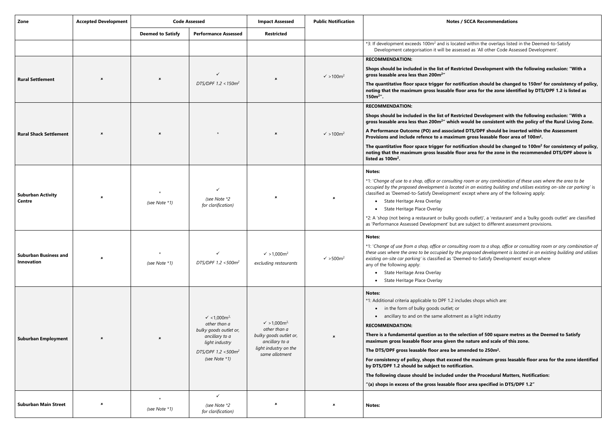**The quantitative floor space trigger for notification should be changed to 150m<sup>2</sup> for consistency of policy, noting thatasim group identified by DTS/DPF 1.2 is listed as** 

# **Shops should be included in the list of Restricted Development with the following exclusion: "With a**

**The quantitative floor space trigger for notification should be changed to 100m<sup>2</sup> for consistency of policy, noting that is state in the recommended DTS/DPF above is the recommended DTS/DPF above is** 

> \*1: '*Change of use to a shop, office or consulting room or any combination of these uses where the area to be occupied by the proposed development is located in an existing building and utilises existing on-site car parking'* is xcept where any of the following apply:

> ds outlet)', a 'restaurant' and a 'bulky goods outlet' are classified subject to different assessment provisions.

**Shops should be included in the list of Restricted Development with the following exclusion: "With a gross leasable area less than 200m<sup>2</sup>" which would be consistent with the policy of the Rural Living Zone.**

**DTS/DPF** should be inserted within the Assessment

\*1: '*Change of use from a shop, office or consulting room to a shop, office or consulting room or any combination of these uses where the area to be occupied by the proposed development is located in an existing building and utilises ed-to-Satisfy Development' except where* 

**Presion of 500 square metres as the Deemed to Satisfy** nature and scale of this zone.

| Zone                                       | <b>Accepted Development</b> | <b>Code Assessed</b>      |                                                                                                                                                                       | <b>Impact Assessed</b>                                                                                                                  | <b>Public Notification</b>     | <b>Notes / SCCA Recommendations</b>                                                                                                                                                                                                                                                                                                                                                                                                                                                                                                                                                                                                                                                                                                                                                       |
|--------------------------------------------|-----------------------------|---------------------------|-----------------------------------------------------------------------------------------------------------------------------------------------------------------------|-----------------------------------------------------------------------------------------------------------------------------------------|--------------------------------|-------------------------------------------------------------------------------------------------------------------------------------------------------------------------------------------------------------------------------------------------------------------------------------------------------------------------------------------------------------------------------------------------------------------------------------------------------------------------------------------------------------------------------------------------------------------------------------------------------------------------------------------------------------------------------------------------------------------------------------------------------------------------------------------|
|                                            |                             | <b>Deemed to Satisfy</b>  | <b>Performance Assessed</b>                                                                                                                                           | <b>Restricted</b>                                                                                                                       |                                |                                                                                                                                                                                                                                                                                                                                                                                                                                                                                                                                                                                                                                                                                                                                                                                           |
|                                            |                             |                           |                                                                                                                                                                       |                                                                                                                                         |                                | *3: If development exceeds 100m <sup>2</sup> and is located within the overlays listed in the Deen<br>Development categorisation it will be assessed as 'All other Code Assessed Develo                                                                                                                                                                                                                                                                                                                                                                                                                                                                                                                                                                                                   |
|                                            |                             |                           |                                                                                                                                                                       |                                                                                                                                         |                                | <b>RECOMMENDATION:</b>                                                                                                                                                                                                                                                                                                                                                                                                                                                                                                                                                                                                                                                                                                                                                                    |
| <b>Rural Settlement</b>                    |                             | $\boldsymbol{\mathsf{x}}$ |                                                                                                                                                                       | $\pmb{\times}$                                                                                                                          | $\sqrt{ }$ > 100m <sup>2</sup> | Shops should be included in the list of Restricted Development with the followin<br>gross leasable area less than 200m <sup>2</sup> "                                                                                                                                                                                                                                                                                                                                                                                                                                                                                                                                                                                                                                                     |
|                                            |                             |                           | DTS/DPF 1.2 < 150 $m^2$                                                                                                                                               |                                                                                                                                         |                                | The quantitative floor space trigger for notification should be changed to 150m <sup>2</sup><br>noting that the maximum gross leasable floor area for the zone identified by DT!<br>$150m^2$ ".                                                                                                                                                                                                                                                                                                                                                                                                                                                                                                                                                                                           |
|                                            |                             |                           |                                                                                                                                                                       |                                                                                                                                         |                                | <b>RECOMMENDATION:</b>                                                                                                                                                                                                                                                                                                                                                                                                                                                                                                                                                                                                                                                                                                                                                                    |
|                                            |                             |                           |                                                                                                                                                                       |                                                                                                                                         |                                | Shops should be included in the list of Restricted Development with the followin<br>gross leasable area less than 200m <sup>2</sup> " which would be consistent with the policy o                                                                                                                                                                                                                                                                                                                                                                                                                                                                                                                                                                                                         |
| <b>Rural Shack Settlement</b>              | $\boldsymbol{\mathsf{x}}$   | $\boldsymbol{\mathsf{x}}$ |                                                                                                                                                                       | $\boldsymbol{\mathsf{x}}$                                                                                                               | $\sqrt{ }$ > 100m <sup>2</sup> | A Performance Outcome (PO) and associated DTS/DPF should be inserted within<br>Provisions and include refence to a maximum gross leasable floor area of 100m <sup>2</sup> .                                                                                                                                                                                                                                                                                                                                                                                                                                                                                                                                                                                                               |
|                                            |                             |                           |                                                                                                                                                                       |                                                                                                                                         |                                | The quantitative floor space trigger for notification should be changed to 100m <sup>2</sup><br>noting that the maximum gross leasable floor area for the zone in the recommer<br>listed as 100m <sup>2</sup> .                                                                                                                                                                                                                                                                                                                                                                                                                                                                                                                                                                           |
| <b>Suburban Activity</b><br>Centre         | $\boldsymbol{\mathsf{x}}$   | (see Note *1)             | (see Note *2<br>for clarification)                                                                                                                                    | $\pmb{\times}$                                                                                                                          | $\pmb{\times}$                 | <b>Notes:</b><br>*1: 'Change of use to a shop, office or consulting room or any combination of these uses<br>occupied by the proposed development is located in an existing building and utilises exis<br>classified as 'Deemed-to-Satisfy Development' except where any of the following appl<br>State Heritage Area Overlay<br>$\bullet$<br>State Heritage Place Overlay<br>$\bullet$<br>*2: A 'shop (not being a restaurant or bulky goods outlet)', a 'restaurant' and a 'bulky of<br>as 'Performance Assessed Development' but are subject to different assessment provis                                                                                                                                                                                                            |
| <b>Suburban Business and</b><br>Innovation | $\boldsymbol{\mathsf{x}}$   | (see Note *1)             | DTS/DPF 1.2 <500m <sup>2</sup>                                                                                                                                        | $\sqrt{}$ > 1,000m <sup>2</sup><br>excluding restaurants                                                                                | $\sqrt{ }$ > 500m <sup>2</sup> | Notes:<br>*1: 'Change of use from a shop, office or consulting room to a shop, office or consulting i<br>these uses where the area to be occupied by the proposed development is located in an e<br>existing on-site car parking' is classified as 'Deemed-to-Satisfy Development' except w<br>any of the following apply:<br>State Heritage Area Overlay<br>State Heritage Place Overlay                                                                                                                                                                                                                                                                                                                                                                                                 |
| <b>Suburban Employment</b>                 | $\pmb{\times}$              | $\boldsymbol{\mathsf{x}}$ | $\checkmark$ < 1,000 m <sup>2,</sup><br>other than a<br>bulky goods outlet or,<br>ancillary to a<br>light industry<br>DTS/DPF 1.2 <500m <sup>2</sup><br>(see Note *1) | $\sqrt{}$ > 1,000m <sup>2,</sup><br>other than a<br>bulky goods outlet or,<br>ancillary to a<br>light industry on the<br>same allotment | $\boldsymbol{\mathsf{x}}$      | <b>Notes:</b><br>*1: Additional criteria applicable to DPF 1.2 includes shops which are:<br>• in the form of bulky goods outlet; or<br>ancillary to and on the same allotment as a light industry<br><b>RECOMMENDATION:</b><br>There is a fundamental question as to the selection of 500 square metres as the I<br>maximum gross leasable floor area given the nature and scale of this zone.<br>The DTS/DPF gross leasable floor area be amended to 250m <sup>2</sup> .<br>For consistency of policy, shops that exceed the maximum gross leasable floor ar<br>by DTS/DPF 1.2 should be subject to notification.<br>The following clause should be included under the Procedural Matters, Notificati<br>"(a) shops in excess of the gross leasable floor area specified in DTS/DPF 1.2" |
| <b>Suburban Main Street</b>                | $\pmb{\times}$              | (see Note *1)             | $\checkmark$<br>(see Note *2<br>for clarification)                                                                                                                    | ×                                                                                                                                       | ×                              | Notes:                                                                                                                                                                                                                                                                                                                                                                                                                                                                                                                                                                                                                                                                                                                                                                                    |

#### **ZCCA Recommendations**

I within the overlays listed in the Deemed-to-Satisfy ed as 'All other Code Assessed Development'.

**For consistency of policy, shops that exceed the maximum gross leasable floor area for the zone identified** 

**The Procedural Matters, Notification:**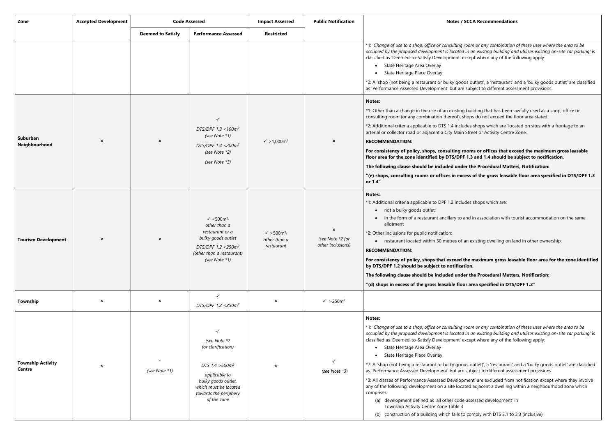\*1: '*Change of use to a shop, office or consulting room or any combination of these uses where the area to be occupied by the proposed development is located in an existing building and utilises existing on-site car parking'* is xcept where any of the following apply:

ds outlet)', a 'restaurant' and a 'bulky goods outlet' are classified subject to different assessment provisions.

building that has been lawfully used as a shop, office or hops do not exceed the floor area stated.

des shops which are 'located on sites with a frontage to an Street or Activity Centre Zone.

**For consistency of policy, shops, consulting rooms or offices that exceed the maximum gross leasable floor 1.3 and 1.4 should be subject to notification.** 

**r the Procedural Matters, Notification:** 

ess of the gross leasable floor area specified in DTS/DPF 1.3

des shops which are:

ind in association with tourist accommodation on the same

In existing dwelling on land in other ownership.

\*1: '*Change of use to a shop, office or consulting room or any combination of these uses where the area to be occupied by the proposed development is located in an existing building and utilises existing on-site car parking'* is xcept where any of the following apply:

ds outlet)', a 'restaurant' and a 'bulky goods outlet' are classified subject to different assessment provisions.

ment' are excluded from notification except where they involve ted adjacent a dwelling within a neighbourhood zone which

assessed development' in

comply with DTS 3.1 to 3.3 (inclusive)

| Zone                                      | <b>Accepted Development</b> | <b>Code Assessed</b>      |                                                                                                                                                                            | <b>Impact Assessed</b>                                        | <b>Public Notification</b>                              | Notes / SCC                                                                                                                                                                                                                                                                                                                                                                                                                                                                                                                                                                                                                                      |
|-------------------------------------------|-----------------------------|---------------------------|----------------------------------------------------------------------------------------------------------------------------------------------------------------------------|---------------------------------------------------------------|---------------------------------------------------------|--------------------------------------------------------------------------------------------------------------------------------------------------------------------------------------------------------------------------------------------------------------------------------------------------------------------------------------------------------------------------------------------------------------------------------------------------------------------------------------------------------------------------------------------------------------------------------------------------------------------------------------------------|
|                                           |                             | <b>Deemed to Satisfy</b>  | <b>Performance Assessed</b>                                                                                                                                                | <b>Restricted</b>                                             |                                                         |                                                                                                                                                                                                                                                                                                                                                                                                                                                                                                                                                                                                                                                  |
|                                           |                             |                           |                                                                                                                                                                            |                                                               |                                                         | *1: 'Change of use to a shop, office or consulting roon<br>occupied by the proposed development is located in a<br>classified as 'Deemed-to-Satisfy Development' excep<br>State Heritage Area Overlay<br>State Heritage Place Overlay<br>*2: A 'shop (not being a restaurant or bulky goods or<br>as 'Performance Assessed Development' but are sub                                                                                                                                                                                                                                                                                              |
| Suburban<br>Neighbourhood                 | ×                           | $\pmb{\times}$            | DTS/DPF $1.3 < 100m^2$<br>(see Note *1)<br>DTS/DPF 1.4 < 200m <sup>2</sup><br>(see Note *2)<br>(see Note *3)                                                               | $\sqrt{}$ > 1,000m <sup>2</sup>                               | $\pmb{\times}$                                          | <b>Notes:</b><br>*1: Other than a change in the use of an existing buil<br>consulting room (or any combination thereof), shops<br>*2: Additional criteria applicable to DTS 1.4 includes<br>arterial or collector road or adjacent a City Main Stre<br><b>RECOMMENDATION:</b><br>For consistency of policy, shops, consulting room<br>floor area for the zone identified by DTS/DPF 1.3<br>The following clause should be included under th<br>"(e) shops, consulting rooms or offices in excess<br>or 1.4"                                                                                                                                      |
| <b>Tourism Development</b>                | ×                           | $\pmb{\times}$            | $\checkmark$ <500m <sup>2,</sup><br>other than a<br>restaurant or a<br>bulky goods outlet<br>DTS/DPF 1.2 <250m <sup>2</sup><br>(other than a restaurant)<br>(see Note *1)  | $\sqrt{ }$ > 500m <sup>2,</sup><br>other than a<br>restaurant | $\pmb{\times}$<br>(see Note *2 for<br>other inclusions) | Notes:<br>*1: Additional criteria applicable to DPF 1.2 includes<br>• not a bulky goods outlet;<br>in the form of a restaurant ancillary to and i<br>allotment<br>*2: Other inclusions for public notification:<br>• restaurant located within 30 metres of an ex-<br><b>RECOMMENDATION:</b><br>For consistency of policy, shops that exceed the r<br>by DTS/DPF 1.2 should be subject to notification.<br>The following clause should be included under th<br>"(d) shops in excess of the gross leasable floor ar                                                                                                                               |
| Township                                  | $\pmb{\times}$              | $\boldsymbol{\mathsf{x}}$ | ✓<br>DTS/DPF 1.2 < 250m <sup>2</sup>                                                                                                                                       | $\boldsymbol{\mathsf{x}}$                                     | $\checkmark$ >250m <sup>2</sup>                         |                                                                                                                                                                                                                                                                                                                                                                                                                                                                                                                                                                                                                                                  |
| <b>Township Activity</b><br><b>Centre</b> | ×                           | $\star$<br>(see Note *1)  | (see Note *2<br>for clarification)<br>DTS 1.4 > 500m <sup>2</sup><br>applicable to<br>bulky goods outlet,<br>which must be located<br>towards the periphery<br>of the zone | $\pmb{\times}$                                                | (see Note *3)                                           | <b>Notes:</b><br>*1: 'Change of use to a shop, office or consulting roon<br>occupied by the proposed development is located in a<br>classified as 'Deemed-to-Satisfy Development' excep<br>State Heritage Area Overlay<br>State Heritage Place Overlay<br>*2: A 'shop (not being a restaurant or bulky goods or<br>as 'Performance Assessed Development' but are sub<br>*3: All classes of Performance Assessed Developmen<br>any of the following, development on a site located<br>comprises:<br>(a) development defined as 'all other code asse<br>Township Activity Centre Zone Table 3<br>(b) construction of a building which fails to cor |

#### **ZCCA Recommendations**

**For consistency of policy, shops that exceed the maximum gross leasable floor area for the zone identified** 

**The Procedural Matters, Notification:** 

**"(d) shops in excess of the gross leasable floor area specified in DTS/DPF 1.2"**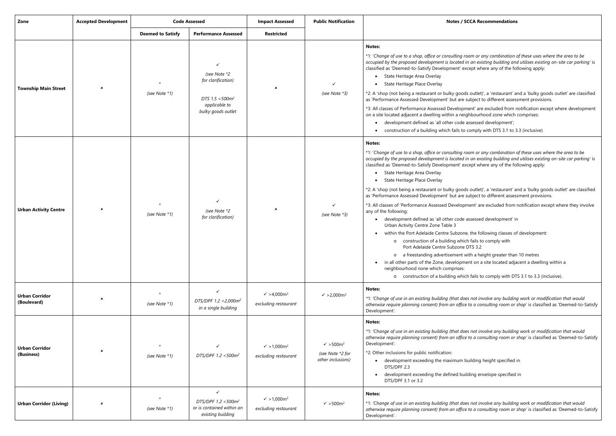\*1: '*Change of use to a shop, office or consulting room or any combination of these uses where the area to be occupied by the proposed development is located in an existing building and utilises existing on-site car parking'* is xcept where any of the following apply:

ds outlet)', a 'restaurant' and a 'bulky goods outlet' are classified subject to different assessment provisions.

ment' are excluded from notification except where development ighbourhood zone which comprises:

assessed development';

 $\alpha$  comply with DTS 3.1 to 3.3 (inclusive)

\*1: '*Change of use to a shop, office or consulting room or any combination of these uses where the area to be occupied by the proposed development is located in an existing building and utilises existing on-site car parking'* is xcept where any of the following apply:

ds outlet)', a 'restaurant' and a 'bulky goods outlet' are classified subject to different assessment provisions.

ment' are excluded from notification except where they involve

assessed development' in

e, the following classes of development:

ch fails to comply with

DTS  $3.2$ 

with a height greater than 10 metres

ent on a site located adjacent a dwelling within a

ch fails to comply with DTS 3.1 to 3.3 (inclusive).

 $\epsilon$ s not involve any building work or modification that would *otherwise require planning consent) from an office to a consulting room or shop'* is classified as 'Deemed-to-Satisfy

 $\epsilon$ *es not involve any building work or modification that would otherwise require planning consent) from an office to a consulting room or shop'* is classified as 'Deemed-to-Satisfy

building height specified in

ilding envelope specified in

 $es$  not involve any building work or modification that would *to a consulting room or shop'* is classified as 'Deemed-to-Satisfy

| Zone                                 | <b>Accepted Development</b> | <b>Code Assessed</b>     |                                                                                                              | <b>Impact Assessed</b>                                  | <b>Public Notification</b>                                              | Notes / S                                                                                                                                                                                                                                                                                                                                                                                                                                                                                                                                                                                                                                                                                                                                                                                                   |
|--------------------------------------|-----------------------------|--------------------------|--------------------------------------------------------------------------------------------------------------|---------------------------------------------------------|-------------------------------------------------------------------------|-------------------------------------------------------------------------------------------------------------------------------------------------------------------------------------------------------------------------------------------------------------------------------------------------------------------------------------------------------------------------------------------------------------------------------------------------------------------------------------------------------------------------------------------------------------------------------------------------------------------------------------------------------------------------------------------------------------------------------------------------------------------------------------------------------------|
|                                      |                             | <b>Deemed to Satisfy</b> | <b>Performance Assessed</b>                                                                                  | <b>Restricted</b>                                       |                                                                         |                                                                                                                                                                                                                                                                                                                                                                                                                                                                                                                                                                                                                                                                                                                                                                                                             |
| <b>Township Main Street</b>          | $\pmb{\times}$              | (see Note *1)            | ✓<br>(see Note *2<br>for clarification)<br>DTS 1.5 <500m <sup>2</sup><br>applicable to<br>bulky goods outlet | $\pmb{\times}$                                          | ✓<br>(see Note *3)                                                      | <b>Notes:</b><br>*1: 'Change of use to a shop, office or consulting re<br>occupied by the proposed development is located<br>classified as 'Deemed-to-Satisfy Development' ex<br>• State Heritage Area Overlay<br>State Heritage Place Overlay<br>*2: A 'shop (not being a restaurant or bulky good<br>as 'Performance Assessed Development' but are :<br>*3: All classes of Performance Assessed Developn<br>on a site located adjacent a dwelling within a neig<br>development defined as 'all other code<br>$\bullet$<br>construction of a building which fails to                                                                                                                                                                                                                                       |
| <b>Urban Activity Centre</b>         | $\pmb{\times}$              | (see Note *1)            | $\checkmark$<br>(see Note *2<br>for clarification)                                                           | ×                                                       | ✓<br>(see Note *3)                                                      | <b>Notes:</b><br>*1: 'Change of use to a shop, office or consulting re<br>occupied by the proposed development is located<br>classified as 'Deemed-to-Satisfy Development' ex<br>• State Heritage Area Overlay<br>State Heritage Place Overlay<br>*2: A 'shop (not being a restaurant or bulky good<br>as 'Performance Assessed Development' but are :<br>*3: All classes of 'Performance Assessed Developr<br>any of the following:<br>• development defined as 'all other code<br>Urban Activity Centre Zone Table 3<br>within the Port Adelaide Centre Subzon<br>o construction of a building which<br>Port Adelaide Centre Subzone<br>a freestanding advertisement v<br>$\circ$<br>in all other parts of the Zone, developm<br>neighbourhood none which comprises:<br>o construction of a building whic |
| <b>Urban Corridor</b><br>(Boulevard) | $\pmb{\times}$              | (see Note *1)            | $\checkmark$<br>DTS/DPF 1.2 < 2,000m <sup>2</sup><br>in a single building                                    | $\sqrt{}$ >4,000m <sup>2</sup><br>excluding restaurant  | $\sqrt{}$ > 2,000m <sup>2</sup>                                         | <b>Notes:</b><br>*1: 'Change of use in an existing building (that doe<br>otherwise require planning consent) from an office<br>Development'.                                                                                                                                                                                                                                                                                                                                                                                                                                                                                                                                                                                                                                                                |
| <b>Urban Corridor</b><br>(Business)  | $\pmb{\times}$              | $\star$<br>(see Note *1) | $\checkmark$<br>DTS/DPF 1.2 <500m <sup>2</sup>                                                               | $\sqrt{}$ > 1,000m <sup>2</sup><br>excluding restaurant | $\sqrt{ }$ > 500m <sup>2</sup><br>(see Note *2 for<br>other inclusions) | <b>Notes:</b><br>*1: 'Change of use in an existing building (that doe<br>otherwise require planning consent) from an office<br>Development'.<br>*2: Other inclusions for public notification:<br>development exceeding the maximum b<br>DTS/DPF 2.3<br>development exceeding the defined bui<br>DTS/DPF 3.1 or 3.2                                                                                                                                                                                                                                                                                                                                                                                                                                                                                          |
| <b>Urban Corridor (Living)</b>       | ×                           | $\star$<br>(see Note *1) | $\checkmark$<br>DTS/DPF 1.2 <500m <sup>2</sup><br>or is contained within an<br>existing building             | $\sqrt{}$ > 1,000m <sup>2</sup><br>excluding restaurant | $\sqrt{ }$ > 500m <sup>2</sup>                                          | <b>Notes:</b><br>*1: 'Change of use in an existing building (that doe<br>otherwise require planning consent) from an office<br>Development'.                                                                                                                                                                                                                                                                                                                                                                                                                                                                                                                                                                                                                                                                |

#### **ZCCA Recommendations**